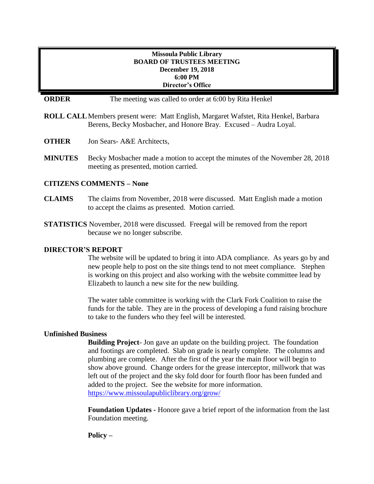## **Missoula Public Library BOARD OF TRUSTEES MEETING December 19, 2018 6:00 PM Director's Office**

**ORDER** The meeting was called to order at 6:00 by Rita Henkel

- **ROLL CALL**Members present were: Matt English, Margaret Wafstet, Rita Henkel, Barbara Berens, Becky Mosbacher, and Honore Bray. Excused – Audra Loyal.
- **OTHER** Jon Sears- A&E Architects,
- **MINUTES** Becky Mosbacher made a motion to accept the minutes of the November 28, 2018 meeting as presented, motion carried.

# **CITIZENS COMMENTS – None**

- **CLAIMS** The claims from November, 2018 were discussed. Matt English made a motion to accept the claims as presented. Motion carried.
- **STATISTICS** November, 2018 were discussed. Freegal will be removed from the report because we no longer subscribe.

## **DIRECTOR'S REPORT**

The website will be updated to bring it into ADA compliance. As years go by and new people help to post on the site things tend to not meet compliance. Stephen is working on this project and also working with the website committee lead by Elizabeth to launch a new site for the new building.

The water table committee is working with the Clark Fork Coalition to raise the funds for the table. They are in the process of developing a fund raising brochure to take to the funders who they feel will be interested.

#### **Unfinished Business**

**Building Project**- Jon gave an update on the building project. The foundation and footings are completed. Slab on grade is nearly complete. The columns and plumbing are complete. After the first of the year the main floor will begin to show above ground. Change orders for the grease interceptor, millwork that was left out of the project and the sky fold door for fourth floor has been funded and added to the project. See the website for more information. <https://www.missoulapubliclibrary.org/grow/>

**Foundation Updates -** Honore gave a brief report of the information from the last Foundation meeting.

**Policy –**